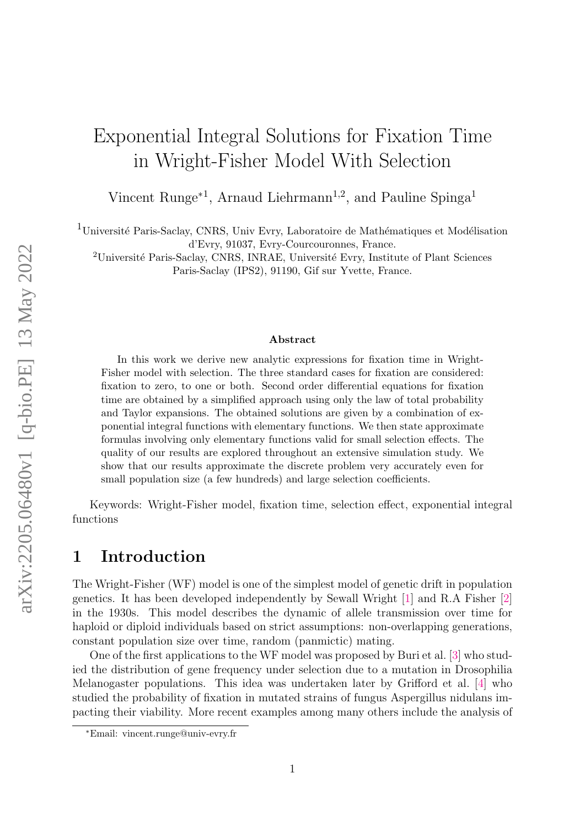# Exponential Integral Solutions for Fixation Time in Wright-Fisher Model With Selection

Vincent Runge<sup>∗1</sup>, Arnaud Liehrmann<sup>1,2</sup>, and Pauline Spinga<sup>1</sup>

 $1$ Université Paris-Saclay, CNRS, Univ Evry, Laboratoire de Mathématiques et Modélisation d'Evry, 91037, Evry-Courcouronnes, France.

<sup>2</sup>Université Paris-Saclay, CNRS, INRAE, Université Evry, Institute of Plant Sciences Paris-Saclay (IPS2), 91190, Gif sur Yvette, France.

#### Abstract

In this work we derive new analytic expressions for fixation time in Wright-Fisher model with selection. The three standard cases for fixation are considered: fixation to zero, to one or both. Second order differential equations for fixation time are obtained by a simplified approach using only the law of total probability and Taylor expansions. The obtained solutions are given by a combination of exponential integral functions with elementary functions. We then state approximate formulas involving only elementary functions valid for small selection effects. The quality of our results are explored throughout an extensive simulation study. We show that our results approximate the discrete problem very accurately even for small population size (a few hundreds) and large selection coefficients.

Keywords: Wright-Fisher model, fixation time, selection effect, exponential integral functions

### 1 Introduction

The Wright-Fisher (WF) model is one of the simplest model of genetic drift in population genetics. It has been developed independently by Sewall Wright [\[1\]](#page-14-0) and R.A Fisher [\[2\]](#page-14-1) in the 1930s. This model describes the dynamic of allele transmission over time for haploid or diploid individuals based on strict assumptions: non-overlapping generations, constant population size over time, random (panmictic) mating.

One of the first applications to the WF model was proposed by Buri et al. [\[3\]](#page-14-2) who studied the distribution of gene frequency under selection due to a mutation in Drosophilia Melanogaster populations. This idea was undertaken later by Grifford et al. [\[4\]](#page-14-3) who studied the probability of fixation in mutated strains of fungus Aspergillus nidulans impacting their viability. More recent examples among many others include the analysis of

<sup>∗</sup>Email: vincent.runge@univ-evry.fr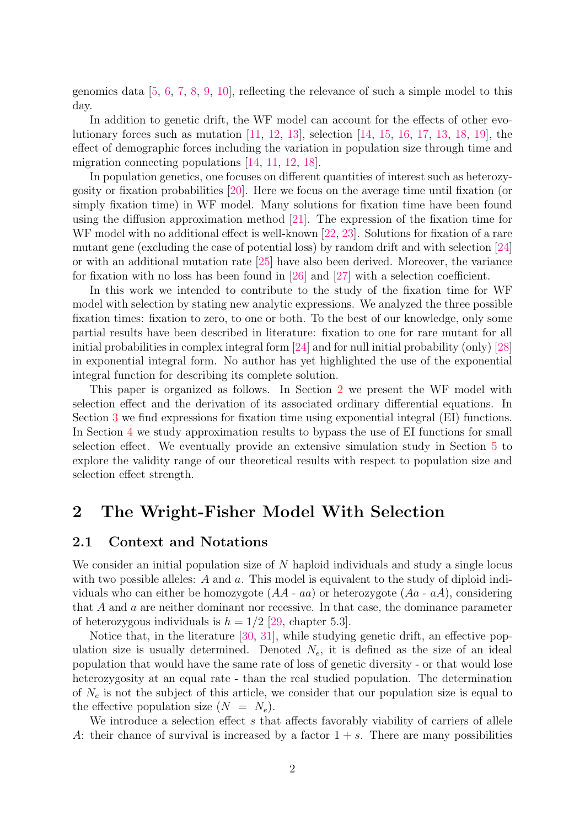genomics data [\[5,](#page-14-4) [6,](#page-15-0) [7,](#page-15-1) [8,](#page-15-2) [9,](#page-15-3) [10\]](#page-15-4), reflecting the relevance of such a simple model to this day.

In addition to genetic drift, the WF model can account for the effects of other evolutionary forces such as mutation [\[11,](#page-15-5) [12,](#page-15-6) [13\]](#page-15-7), selection [\[14,](#page-15-8) [15,](#page-15-9) [16,](#page-15-10) [17,](#page-15-11) [13,](#page-15-7) [18,](#page-15-12) [19\]](#page-15-13), the effect of demographic forces including the variation in population size through time and migration connecting populations [\[14,](#page-15-8) [11,](#page-15-5) [12,](#page-15-6) [18\]](#page-15-12).

In population genetics, one focuses on different quantities of interest such as heterozygosity or fixation probabilities [\[20\]](#page-15-14). Here we focus on the average time until fixation (or simply fixation time) in WF model. Many solutions for fixation time have been found using the diffusion approximation method [\[21\]](#page-16-0). The expression of the fixation time for WF model with no additional effect is well-known [\[22,](#page-16-1) [23\]](#page-16-2). Solutions for fixation of a rare mutant gene (excluding the case of potential loss) by random drift and with selection [\[24\]](#page-16-3) or with an additional mutation rate [\[25\]](#page-16-4) have also been derived. Moreover, the variance for fixation with no loss has been found in [\[26\]](#page-16-5) and [\[27\]](#page-16-6) with a selection coefficient.

In this work we intended to contribute to the study of the fixation time for WF model with selection by stating new analytic expressions. We analyzed the three possible fixation times: fixation to zero, to one or both. To the best of our knowledge, only some partial results have been described in literature: fixation to one for rare mutant for all initial probabilities in complex integral form [\[24\]](#page-16-3) and for null initial probability (only) [\[28\]](#page-16-7) in exponential integral form. No author has yet highlighted the use of the exponential integral function for describing its complete solution.

This paper is organized as follows. In Section [2](#page-1-0) we present the WF model with selection effect and the derivation of its associated ordinary differential equations. In Section [3](#page-5-0) we find expressions for fixation time using exponential integral (EI) functions. In Section [4](#page-8-0) we study approximation results to bypass the use of EI functions for small selection effect. We eventually provide an extensive simulation study in Section [5](#page-10-0) to explore the validity range of our theoretical results with respect to population size and selection effect strength.

### <span id="page-1-0"></span>2 The Wright-Fisher Model With Selection

#### 2.1 Context and Notations

We consider an initial population size of  $N$  haploid individuals and study a single locus with two possible alleles: A and a. This model is equivalent to the study of diploid individuals who can either be homozygote  $(AA - aa)$  or heterozygote  $(Aa - aA)$ , considering that A and a are neither dominant nor recessive. In that case, the dominance parameter of heterozygous individuals is  $h = 1/2$  [\[29,](#page-16-8) chapter 5.3].

Notice that, in the literature [\[30,](#page-16-9) [31\]](#page-16-10), while studying genetic drift, an effective population size is usually determined. Denoted  $N_e$ , it is defined as the size of an ideal population that would have the same rate of loss of genetic diversity - or that would lose heterozygosity at an equal rate - than the real studied population. The determination of  $N_e$  is not the subject of this article, we consider that our population size is equal to the effective population size  $(N = N_e)$ .

We introduce a selection effect s that affects favorably viability of carriers of allele A: their chance of survival is increased by a factor  $1 + s$ . There are many possibilities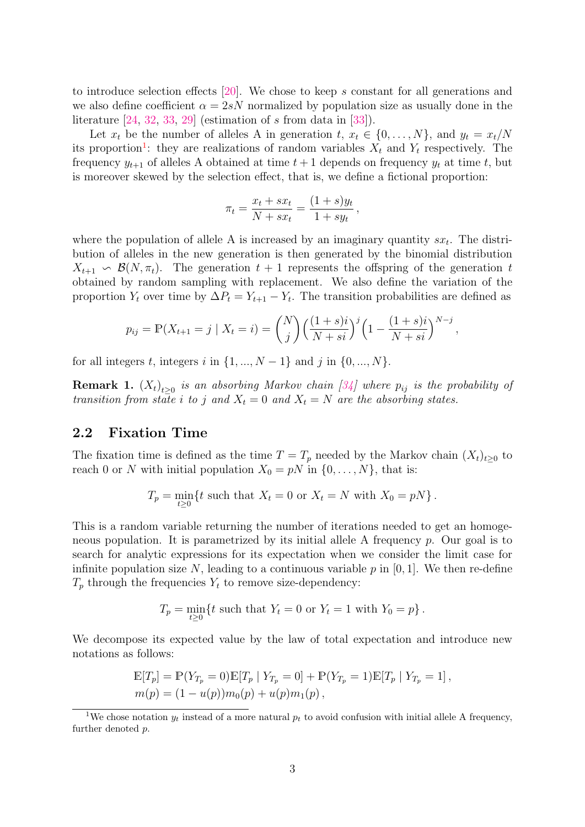to introduce selection effects [\[20\]](#page-15-14). We chose to keep s constant for all generations and we also define coefficient  $\alpha = 2sN$  normalized by population size as usually done in the literature  $[24, 32, 33, 29]$  $[24, 32, 33, 29]$  $[24, 32, 33, 29]$  $[24, 32, 33, 29]$  $[24, 32, 33, 29]$  $[24, 32, 33, 29]$  $[24, 32, 33, 29]$  (estimation of s from data in [\[33\]](#page-16-12)).

Let  $x_t$  be the number of alleles A in generation  $t, x_t \in \{0, ..., N\}$ , and  $y_t = x_t/N$ its proportion<sup>[1](#page-2-0)</sup>: they are realizations of random variables  $X_t$  and  $Y_t$  respectively. The frequency  $y_{t+1}$  of alleles A obtained at time  $t+1$  depends on frequency  $y_t$  at time t, but is moreover skewed by the selection effect, that is, we define a fictional proportion:

$$
\pi_t = \frac{x_t + sx_t}{N + sx_t} = \frac{(1+s)y_t}{1 + sy_t},
$$

where the population of allele A is increased by an imaginary quantity  $sx_t$ . The distribution of alleles in the new generation is then generated by the binomial distribution  $X_{t+1} \backsim \mathcal{B}(N, \pi_t)$ . The generation  $t+1$  represents the offspring of the generation t obtained by random sampling with replacement. We also define the variation of the proportion  $Y_t$  over time by  $\Delta P_t = Y_{t+1} - Y_t$ . The transition probabilities are defined as

$$
p_{ij} = \mathbb{P}(X_{t+1} = j \mid X_t = i) = {N \choose j} \Big(\frac{(1+s)i}{N+si}\Big)^j \Big(1 - \frac{(1+s)i}{N+si}\Big)^{N-j},
$$

for all integers t, integers i in  $\{1, ..., N-1\}$  and j in  $\{0, ..., N\}$ .

**Remark 1.**  $(X_t)_{t\geq 0}$  is an absorbing Markov chain [\[34\]](#page-16-13) where  $p_{ij}$  is the probability of transition from state i to j and  $X_t = 0$  and  $X_t = N$  are the absorbing states.

#### 2.2 Fixation Time

The fixation time is defined as the time  $T = T_p$  needed by the Markov chain  $(X_t)_{t\geq0}$  to reach 0 or N with initial population  $X_0 = pN$  in  $\{0, \ldots, N\}$ , that is:

$$
T_p = \min_{t \ge 0} \{ t \text{ such that } X_t = 0 \text{ or } X_t = N \text{ with } X_0 = pN \}.
$$

This is a random variable returning the number of iterations needed to get an homogeneous population. It is parametrized by its initial allele A frequency  $p$ . Our goal is to search for analytic expressions for its expectation when we consider the limit case for infinite population size N, leading to a continuous variable  $p$  in [0, 1]. We then re-define  $T_p$  through the frequencies  $Y_t$  to remove size-dependency:

$$
T_p = \min_{t \ge 0} \{ t \text{ such that } Y_t = 0 \text{ or } Y_t = 1 \text{ with } Y_0 = p \}.
$$

We decompose its expected value by the law of total expectation and introduce new notations as follows:

$$
\mathbb{E}[T_p] = \mathbb{P}(Y_{T_p} = 0)\mathbb{E}[T_p | Y_{T_p} = 0] + \mathbb{P}(Y_{T_p} = 1)\mathbb{E}[T_p | Y_{T_p} = 1],
$$
  

$$
m(p) = (1 - u(p))m_0(p) + u(p)m_1(p),
$$

<span id="page-2-0"></span><sup>&</sup>lt;sup>1</sup>We chose notation  $y_t$  instead of a more natural  $p_t$  to avoid confusion with initial allele A frequency, further denoted p.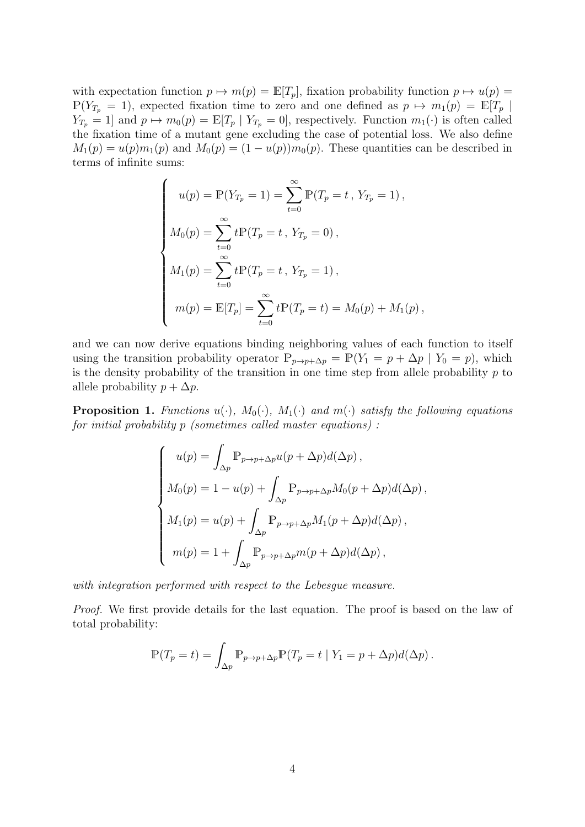with expectation function  $p \mapsto m(p) = \mathbb{E}[T_p]$ , fixation probability function  $p \mapsto u(p) =$  $\mathbb{P}(Y_{T_p} = 1)$ , expected fixation time to zero and one defined as  $p \mapsto m_1(p) = \mathbb{E}[T_p]$  $Y_{T_p} = 1$ ] and  $p \mapsto m_0(p) = \mathbb{E}[T_p | Y_{T_p} = 0]$ , respectively. Function  $m_1(\cdot)$  is often called the fixation time of a mutant gene excluding the case of potential loss. We also define  $M_1(p) = u(p)m_1(p)$  and  $M_0(p) = (1 - u(p))m_0(p)$ . These quantities can be described in terms of infinite sums:

$$
\begin{cases}\nu(p) = \mathbb{P}(Y_{T_p} = 1) = \sum_{t=0}^{\infty} \mathbb{P}(T_p = t, Y_{T_p} = 1), \\
M_0(p) = \sum_{t=0}^{\infty} t \mathbb{P}(T_p = t, Y_{T_p} = 0), \\
M_1(p) = \sum_{t=0}^{\infty} t \mathbb{P}(T_p = t, Y_{T_p} = 1), \\
m(p) = \mathbb{E}[T_p] = \sum_{t=0}^{\infty} t \mathbb{P}(T_p = t) = M_0(p) + M_1(p),\n\end{cases}
$$

and we can now derive equations binding neighboring values of each function to itself using the transition probability operator  $\mathbb{P}_{p\to p+\Delta p} = \mathbb{P}(Y_1 = p + \Delta p \mid Y_0 = p)$ , which is the density probability of the transition in one time step from allele probability  $p$  to allele probability  $p + \Delta p$ .

<span id="page-3-0"></span>**Proposition 1.** Functions  $u(\cdot)$ ,  $M_0(\cdot)$ ,  $M_1(\cdot)$  and  $m(\cdot)$  satisfy the following equations for initial probability p (sometimes called master equations) :

$$
\begin{cases}\nu(p) = \int_{\Delta p} \mathbb{P}_{p \to p + \Delta p} u(p + \Delta p) d(\Delta p), \\
M_0(p) = 1 - u(p) + \int_{\Delta p} \mathbb{P}_{p \to p + \Delta p} M_0(p + \Delta p) d(\Delta p), \\
M_1(p) = u(p) + \int_{\Delta p} \mathbb{P}_{p \to p + \Delta p} M_1(p + \Delta p) d(\Delta p), \\
m(p) = 1 + \int_{\Delta p} \mathbb{P}_{p \to p + \Delta p} m(p + \Delta p) d(\Delta p),\n\end{cases}
$$

with integration performed with respect to the Lebesque measure.

Proof. We first provide details for the last equation. The proof is based on the law of total probability:

$$
\mathbb{P}(T_p = t) = \int_{\Delta p} \mathbb{P}_{p \to p + \Delta p} \mathbb{P}(T_p = t \mid Y_1 = p + \Delta p) d(\Delta p).
$$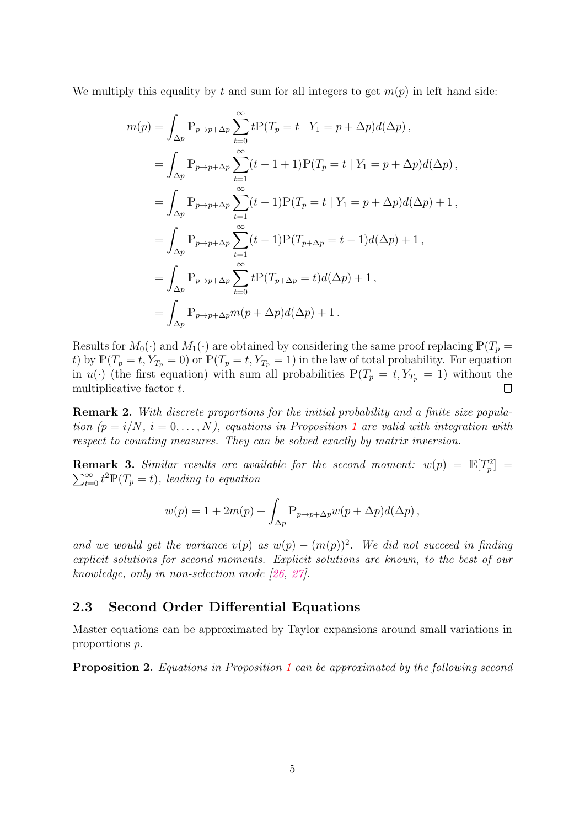We multiply this equality by t and sum for all integers to get  $m(p)$  in left hand side:

$$
m(p) = \int_{\Delta p} \mathbb{P}_{p \to p + \Delta p} \sum_{t=0}^{\infty} t \mathbb{P}(T_p = t | Y_1 = p + \Delta p) d(\Delta p),
$$
  
\n
$$
= \int_{\Delta p} \mathbb{P}_{p \to p + \Delta p} \sum_{t=1}^{\infty} (t - 1 + 1) \mathbb{P}(T_p = t | Y_1 = p + \Delta p) d(\Delta p),
$$
  
\n
$$
= \int_{\Delta p} \mathbb{P}_{p \to p + \Delta p} \sum_{t=1}^{\infty} (t - 1) \mathbb{P}(T_p = t | Y_1 = p + \Delta p) d(\Delta p) + 1,
$$
  
\n
$$
= \int_{\Delta p} \mathbb{P}_{p \to p + \Delta p} \sum_{t=1}^{\infty} (t - 1) \mathbb{P}(T_{p + \Delta p} = t - 1) d(\Delta p) + 1,
$$
  
\n
$$
= \int_{\Delta p} \mathbb{P}_{p \to p + \Delta p} \sum_{t=0}^{\infty} t \mathbb{P}(T_{p + \Delta p} = t) d(\Delta p) + 1,
$$
  
\n
$$
= \int_{\Delta p} \mathbb{P}_{p \to p + \Delta p} m(p + \Delta p) d(\Delta p) + 1.
$$

Results for  $M_0(\cdot)$  and  $M_1(\cdot)$  are obtained by considering the same proof replacing  $\mathbb{P}(T_p =$ t) by  $\mathbb{P}(T_p = t, Y_{T_p} = 0)$  or  $\mathbb{P}(T_p = t, Y_{T_p} = 1)$  in the law of total probability. For equation in  $u(\cdot)$  (the first equation) with sum all probabilities  $\mathbb{P}(T_p = t, Y_{T_p} = 1)$  without the multiplicative factor t.  $\Box$ 

**Remark 2.** With discrete proportions for the initial probability and a finite size population  $(p = i/N, i = 0, \ldots, N)$ , equations in Proposition [1](#page-3-0) are valid with integration with respect to counting measures. They can be solved exactly by matrix inversion.

**Remark 3.** Similar results are available for the second moment:  $w(p) = \mathbb{E}[T_p^2] =$  $\sum_{t=0}^{\infty} t^2 \mathbb{P}(T_p = t)$ , leading to equation

$$
w(p) = 1 + 2m(p) + \int_{\Delta p} \mathbb{P}_{p \to p + \Delta p} w(p + \Delta p) d(\Delta p),
$$

and we would get the variance  $v(p)$  as  $w(p) - (m(p))^2$ . We did not succeed in finding explicit solutions for second moments. Explicit solutions are known, to the best of our knowledge, only in non-selection mode [\[26,](#page-16-5) [27\]](#page-16-6).

#### 2.3 Second Order Differential Equations

Master equations can be approximated by Taylor expansions around small variations in proportions p.

<span id="page-4-0"></span>Proposition 2. Equations in Proposition [1](#page-3-0) can be approximated by the following second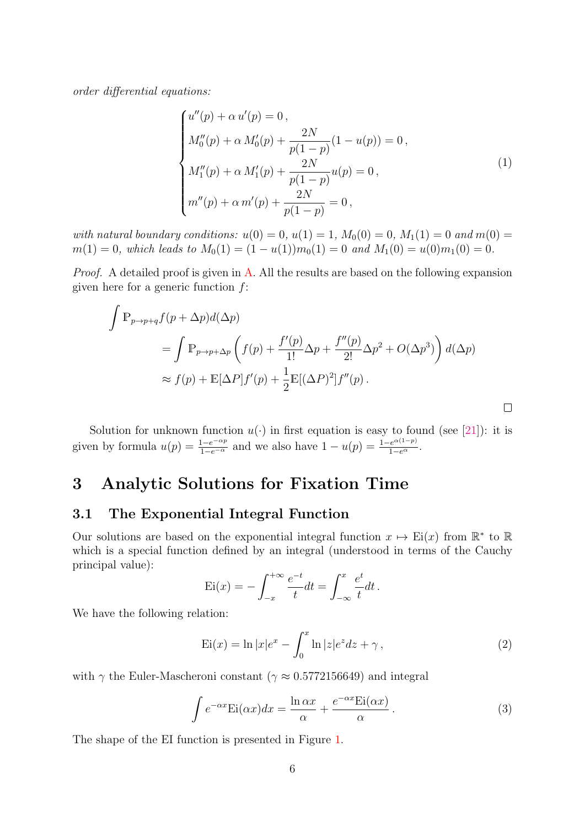order differential equations:

<span id="page-5-3"></span>
$$
\begin{cases}\nu''(p) + \alpha u'(p) = 0, \\
M''_0(p) + \alpha M'_0(p) + \frac{2N}{p(1-p)}(1 - u(p)) = 0, \\
M''_1(p) + \alpha M'_1(p) + \frac{2N}{p(1-p)}u(p) = 0, \\
m''(p) + \alpha m'(p) + \frac{2N}{p(1-p)} = 0,\n\end{cases}
$$
\n(1)

with natural boundary conditions:  $u(0) = 0, u(1) = 1, M_0(0) = 0, M_1(1) = 0$  and  $m(0) = 0$  $m(1) = 0$ , which leads to  $M_0(1) = (1 - u(1))m_0(1) = 0$  and  $M_1(0) = u(0)m_1(0) = 0$ .

Proof. A detailed proof is given in [A.](#page-17-0) All the results are based on the following expansion given here for a generic function  $f$ :

$$
\int \mathbb{P}_{p \to p+q} f(p + \Delta p) d(\Delta p)
$$
  
= 
$$
\int \mathbb{P}_{p \to p+\Delta p} \left( f(p) + \frac{f'(p)}{1!} \Delta p + \frac{f''(p)}{2!} \Delta p^2 + O(\Delta p^3) \right) d(\Delta p)
$$
  

$$
\approx f(p) + \mathbb{E}[\Delta P] f'(p) + \frac{1}{2} \mathbb{E}[(\Delta P)^2] f''(p).
$$

Solution for unknown function  $u(\cdot)$  in first equation is easy to found (see [\[21\]](#page-16-0)): it is given by formula  $u(p) = \frac{1 - e^{-\alpha p}}{1 - e^{-\alpha}}$  and we also have  $1 - u(p) = \frac{1 - e^{\alpha(1-p)}}{1 - e^{\alpha}}$ .

### <span id="page-5-0"></span>3 Analytic Solutions for Fixation Time

#### 3.1 The Exponential Integral Function

Our solutions are based on the exponential integral function  $x \mapsto \text{Ei}(x)$  from  $\mathbb{R}^*$  to  $\mathbb{R}$ which is a special function defined by an integral (understood in terms of the Cauchy principal value):

$$
\operatorname{Ei}(x) = -\int_{-x}^{+\infty} \frac{e^{-t}}{t} dt = \int_{-\infty}^{x} \frac{e^{t}}{t} dt.
$$

We have the following relation:

<span id="page-5-2"></span>
$$
Ei(x) = \ln |x|e^x - \int_0^x \ln |z|e^z dz + \gamma , \qquad (2)
$$

with  $\gamma$  the Euler-Mascheroni constant ( $\gamma \approx 0.5772156649$ ) and integral

<span id="page-5-1"></span>
$$
\int e^{-\alpha x} \text{Ei}(\alpha x) dx = \frac{\ln \alpha x}{\alpha} + \frac{e^{-\alpha x} \text{Ei}(\alpha x)}{\alpha}.
$$
 (3)

The shape of the EI function is presented in Figure [1.](#page-6-0)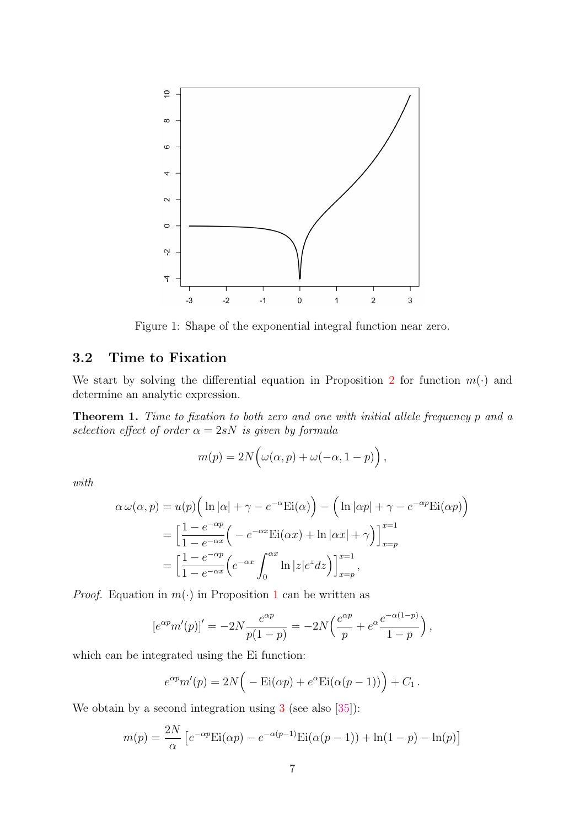

<span id="page-6-0"></span>Figure 1: Shape of the exponential integral function near zero.

### 3.2 Time to Fixation

We start by solving the differential equation in Proposition [2](#page-4-0) for function  $m(\cdot)$  and determine an analytic expression.

<span id="page-6-1"></span>Theorem 1. Time to fixation to both zero and one with initial allele frequency p and a selection effect of order  $\alpha = 2sN$  is given by formula

$$
m(p) = 2N\Big(\omega(\alpha, p) + \omega(-\alpha, 1-p)\Big),\,
$$

with

$$
\alpha \omega(\alpha, p) = u(p) \Big( \ln |\alpha| + \gamma - e^{-\alpha} \mathrm{Ei}(\alpha) \Big) - \Big( \ln |\alpha p| + \gamma - e^{-\alpha p} \mathrm{Ei}(\alpha p) \Big)
$$
  
=  $\Big[ \frac{1 - e^{-\alpha p}}{1 - e^{-\alpha x}} \Big( - e^{-\alpha x} \mathrm{Ei}(\alpha x) + \ln |\alpha x| + \gamma \Big) \Big]_{x=p}^{x=1}$   
=  $\Big[ \frac{1 - e^{-\alpha p}}{1 - e^{-\alpha x}} \Big( e^{-\alpha x} \int_0^{\alpha x} \ln |z| e^z dz \Big) \Big]_{x=p}^{x=1},$ 

*Proof.* Equation in  $m(\cdot)$  in Proposition [1](#page-3-0) can be written as

$$
[e^{\alpha p}m'(p)]' = -2N \frac{e^{\alpha p}}{p(1-p)} = -2N \left( \frac{e^{\alpha p}}{p} + e^{\alpha} \frac{e^{-\alpha(1-p)}}{1-p} \right),
$$

which can be integrated using the Ei function:

$$
e^{\alpha p}m'(p) = 2N\Big(-\mathrm{Ei}(\alpha p) + e^{\alpha}\mathrm{Ei}(\alpha(p-1))\Big) + C_1.
$$

We obtain by a second integration using [3](#page-5-1) (see also [\[35\]](#page-16-14)):

$$
m(p) = \frac{2N}{\alpha} \left[ e^{-\alpha p} \text{Ei}(\alpha p) - e^{-\alpha(p-1)} \text{Ei}(\alpha(p-1)) + \ln(1-p) - \ln(p) \right]
$$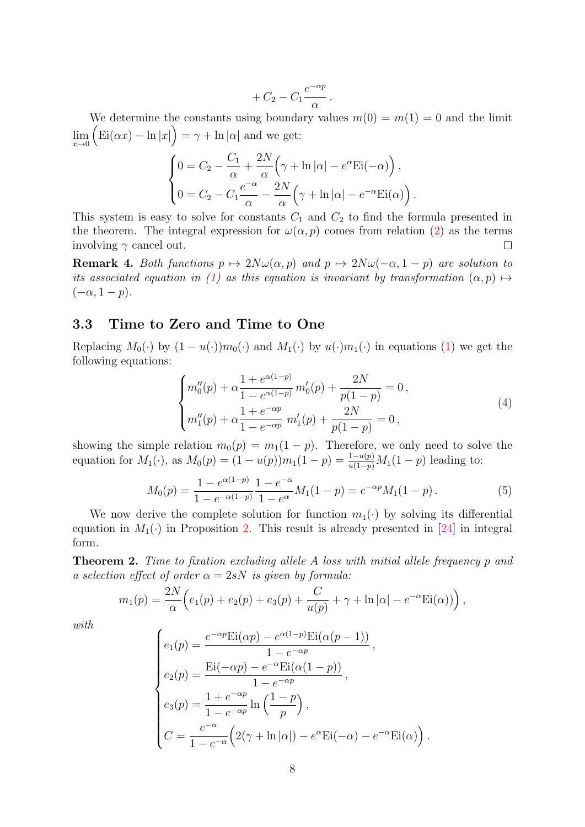$$
+C_2-C_1\frac{e^{-\alpha p}}{\alpha}.
$$

We determine the constants using boundary values  $m(0) = m(1) = 0$  and the limit  $\lim_{x\to 0}$   $\left(\text{Ei}(\alpha x) - \ln|x|\right) = \gamma + \ln|\alpha|$  and we get:

$$
\begin{cases}\n0 = C_2 - \frac{C_1}{\alpha} + \frac{2N}{\alpha} \left( \gamma + \ln |\alpha| - e^{\alpha} \text{Ei}(-\alpha) \right), \\
0 = C_2 - C_1 \frac{e^{-\alpha}}{\alpha} - \frac{2N}{\alpha} \left( \gamma + \ln |\alpha| - e^{-\alpha} \text{Ei}(\alpha) \right).\n\end{cases}
$$

This system is easy to solve for constants  $C_1$  and  $C_2$  to find the formula presented in the theorem. The integral expression for  $\omega(\alpha, p)$  comes from relation [\(2\)](#page-5-2) as the terms involving  $\gamma$  cancel out.  $\Box$ 

**Remark 4.** Both functions  $p \mapsto 2N\omega(\alpha, p)$  and  $p \mapsto 2N\omega(-\alpha, 1 - p)$  are solution to its associated equation in [\(1\)](#page-5-3) as this equation is invariant by transformation  $(\alpha, p) \mapsto$  $(-\alpha, 1-p).$ 

#### 3.3 Time to Zero and Time to One

Replacing  $M_0(\cdot)$  by  $(1-u(\cdot))m_0(\cdot)$  and  $M_1(\cdot)$  by  $u(\cdot)m_1(\cdot)$  in equations [\(1\)](#page-5-3) we get the following equations:

$$
\begin{cases} m_0''(p) + \alpha \frac{1 + e^{\alpha(1-p)}}{1 - e^{\alpha(1-p)}} m_0'(p) + \frac{2N}{p(1-p)} = 0, \\ m_1''(p) + \alpha \frac{1 + e^{-\alpha p}}{1 - e^{-\alpha p}} m_1'(p) + \frac{2N}{p(1-p)} = 0, \end{cases}
$$
\n(4)

showing the simple relation  $m_0(p) = m_1(1-p)$ . Therefore, we only need to solve the equation for  $M_1(\cdot)$ , as  $M_0(p) = (1 - u(p))m_1(1 - p) = \frac{1 - u(p)}{u(1 - p)}M_1(1 - p)$  leading to:

<span id="page-7-0"></span>
$$
M_0(p) = \frac{1 - e^{\alpha(1-p)}}{1 - e^{-\alpha(1-p)}} \frac{1 - e^{-\alpha}}{1 - e^{\alpha}} M_1(1-p) = e^{-\alpha p} M_1(1-p).
$$
 (5)

We now derive the complete solution for function  $m_1(\cdot)$  by solving its differential equation in  $M_1(\cdot)$  in Proposition [2.](#page-4-0) This result is already presented in [\[24\]](#page-16-3) in integral form.

<span id="page-7-1"></span>**Theorem 2.** Time to fixation excluding allele A loss with initial allele frequency p and a selection effect of order  $\alpha = 2sN$  is given by formula:

$$
m_1(p) = \frac{2N}{\alpha} \Big( e_1(p) + e_2(p) + e_3(p) + \frac{C}{u(p)} + \gamma + \ln |\alpha| - e^{-\alpha} \text{Ei}(\alpha) \big) \Big),
$$

with

$$
\begin{cases}\ne_1(p) = \frac{e^{-\alpha p} \text{Ei}(\alpha p) - e^{\alpha (1-p)} \text{Ei}(\alpha (p-1))}{1 - e^{-\alpha p}}, \\
e_2(p) = \frac{\text{Ei}(-\alpha p) - e^{-\alpha} \text{Ei}(\alpha (1-p))}{1 - e^{-\alpha p}}, \\
e_3(p) = \frac{1 + e^{-\alpha p}}{1 - e^{-\alpha p}} \ln\left(\frac{1-p}{p}\right), \\
C = \frac{e^{-\alpha}}{1 - e^{-\alpha}} \Big(2(\gamma + \ln|\alpha|) - e^{\alpha} \text{Ei}(-\alpha) - e^{-\alpha} \text{Ei}(\alpha)\Big)\n\end{cases}
$$

.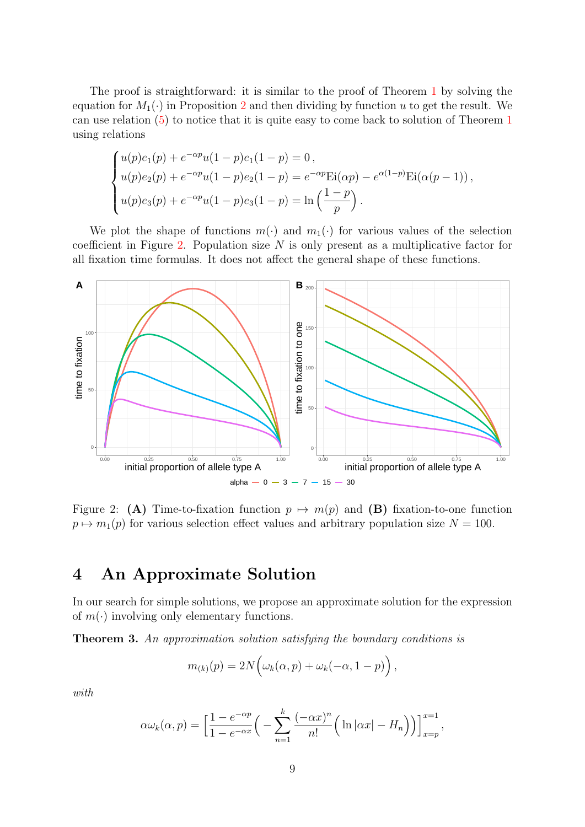The proof is straightforward: it is similar to the proof of Theorem [1](#page-6-1) by solving the equation for  $M_1(\cdot)$  in Proposition [2](#page-4-0) and then dividing by function u to get the result. We can use relation [\(5\)](#page-7-0) to notice that it is quite easy to come back to solution of Theorem [1](#page-6-1) using relations

$$
\begin{cases}\nu(p)e_1(p) + e^{-\alpha p}u(1-p)e_1(1-p) = 0, \\
u(p)e_2(p) + e^{-\alpha p}u(1-p)e_2(1-p) = e^{-\alpha p}\text{Ei}(\alpha p) - e^{\alpha(1-p)}\text{Ei}(\alpha(p-1)), \\
u(p)e_3(p) + e^{-\alpha p}u(1-p)e_3(1-p) = \ln\left(\frac{1-p}{p}\right).\n\end{cases}
$$

We plot the shape of functions  $m(\cdot)$  and  $m_1(\cdot)$  for various values of the selection coefficient in Figure [2.](#page-8-1) Population size  $N$  is only present as a multiplicative factor for all fixation time formulas. It does not affect the general shape of these functions.



<span id="page-8-1"></span>Figure 2: (A) Time-to-fixation function  $p \mapsto m(p)$  and (B) fixation-to-one function  $p \mapsto m_1(p)$  for various selection effect values and arbitrary population size  $N = 100$ .

### <span id="page-8-0"></span>4 An Approximate Solution

In our search for simple solutions, we propose an approximate solution for the expression of  $m(\cdot)$  involving only elementary functions.

<span id="page-8-2"></span>Theorem 3. An approximation solution satisfying the boundary conditions is

$$
m_{(k)}(p) = 2N\Big(\omega_k(\alpha, p) + \omega_k(-\alpha, 1-p)\Big),\,
$$

with

$$
\alpha \omega_k(\alpha, p) = \left[ \frac{1 - e^{-\alpha p}}{1 - e^{-\alpha x}} \left( - \sum_{n=1}^k \frac{(-\alpha x)^n}{n!} \left( \ln |\alpha x| - H_n \right) \right) \right]_{x=p}^{x=1},
$$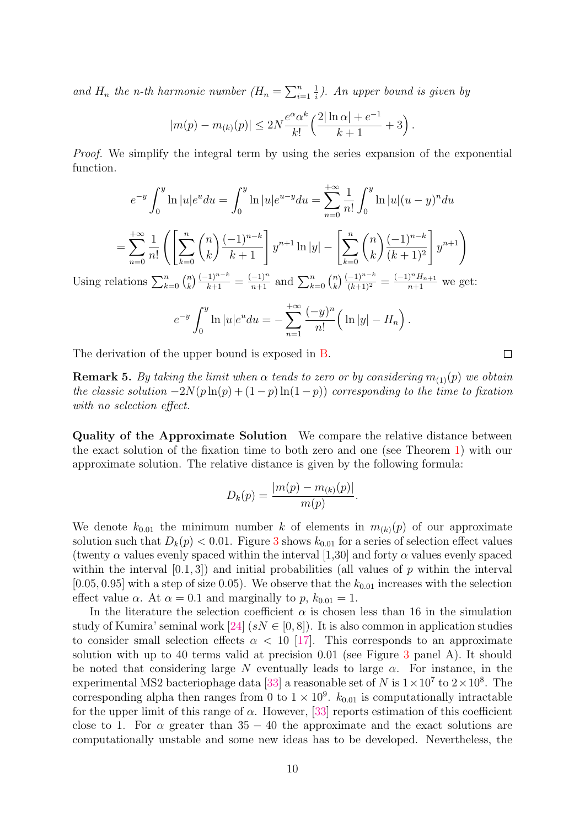and  $H_n$  the n-th harmonic number  $(H_n = \sum_{i=1}^n$ 1  $\frac{1}{i}$ ). An upper bound is given by

$$
|m(p) - m_{(k)}(p)| \le 2N \frac{e^{\alpha} \alpha^k}{k!} \left( \frac{2|\ln \alpha| + e^{-1}}{k+1} + 3 \right).
$$

Proof. We simplify the integral term by using the series expansion of the exponential function.

$$
e^{-y} \int_0^y \ln |u| e^u du = \int_0^y \ln |u| e^{u-y} du = \sum_{n=0}^{+\infty} \frac{1}{n!} \int_0^y \ln |u|(u-y)^n du
$$
  
= 
$$
\sum_{n=0}^{+\infty} \frac{1}{n!} \left( \left[ \sum_{k=0}^n {n \choose k} \frac{(-1)^{n-k}}{k+1} \right] y^{n+1} \ln |y| - \left[ \sum_{k=0}^n {n \choose k} \frac{(-1)^{n-k}}{(k+1)^2} \right] y^{n+1} \right)
$$
  
Using relations 
$$
\sum_{k=0}^n {n \choose k} \frac{(-1)^{n-k}}{k+1} = \frac{(-1)^n}{n+1}
$$
 and 
$$
\sum_{k=0}^n {n \choose k} \frac{(-1)^{n-k}}{(k+1)^2} = \frac{(-1)^n H_{n+1}}{n+1}
$$
 we get:

$$
e^{-y} \int_0^y \ln |u| e^u du = - \sum_{n=1}^{+\infty} \frac{(-y)^n}{n!} \left( \ln |y| - H_n \right).
$$

The derivation of the upper bound is exposed in [B.](#page-18-0)

**Remark 5.** By taking the limit when  $\alpha$  tends to zero or by considering  $m_{(1)}(p)$  we obtain the classic solution  $-2N(p \ln(p) + (1-p) \ln(1-p))$  corresponding to the time to fixation with no selection effect.

Quality of the Approximate Solution We compare the relative distance between the exact solution of the fixation time to both zero and one (see Theorem [1\)](#page-6-1) with our approximate solution. The relative distance is given by the following formula:

$$
D_k(p) = \frac{|m(p) - m_{(k)}(p)|}{m(p)}.
$$

We denote  $k_{0.01}$  the minimum number k of elements in  $m_{(k)}(p)$  of our approximate solution such that  $D_k(p) < 0.01$ . Figure [3](#page-10-1) shows  $k_{0.01}$  for a series of selection effect values (twenty  $\alpha$  values evenly spaced within the interval [1,30] and forty  $\alpha$  values evenly spaced within the interval  $[0.1, 3]$  and initial probabilities (all values of p within the interval  $[0.05, 0.95]$  with a step of size 0.05). We observe that the  $k_{0.01}$  increases with the selection effect value  $\alpha$ . At  $\alpha = 0.1$  and marginally to p,  $k_{0.01} = 1$ .

In the literature the selection coefficient  $\alpha$  is chosen less than 16 in the simulation study of Kumira' seminal work [\[24\]](#page-16-3)  $(sN \in [0,8])$ . It is also common in application studies to consider small selection effects  $\alpha < 10$  [\[17\]](#page-15-11). This corresponds to an approximate solution with up to 40 terms valid at precision  $0.01$  (see Figure [3](#page-10-1) panel A). It should be noted that considering large N eventually leads to large  $\alpha$ . For instance, in the experimental MS2 bacteriophage data [\[33\]](#page-16-12) a reasonable set of N is  $1 \times 10^7$  to  $2 \times 10^8$ . The corresponding alpha then ranges from 0 to  $1 \times 10^9$ .  $k_{0.01}$  is computationally intractable for the upper limit of this range of  $\alpha$ . However, [\[33\]](#page-16-12) reports estimation of this coefficient close to 1. For  $\alpha$  greater than 35 – 40 the approximate and the exact solutions are computationally unstable and some new ideas has to be developed. Nevertheless, the

 $\Box$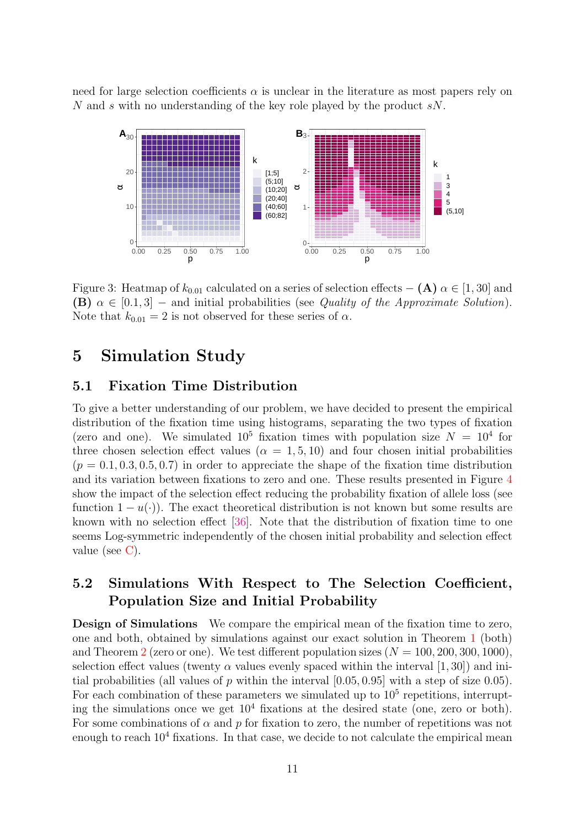need for large selection coefficients  $\alpha$  is unclear in the literature as most papers rely on N and s with no understanding of the key role played by the product sN.



<span id="page-10-1"></span>Figure 3: Heatmap of  $k_{0.01}$  calculated on a series of selection effects – (A)  $\alpha \in [1, 30]$  and **(B)**  $\alpha \in [0.1, 3]$  – and initial probabilities (see Quality of the Approximate Solution). Note that  $k_{0.01} = 2$  is not observed for these series of  $\alpha$ .

### <span id="page-10-0"></span>5 Simulation Study

#### 5.1 Fixation Time Distribution

To give a better understanding of our problem, we have decided to present the empirical distribution of the fixation time using histograms, separating the two types of fixation (zero and one). We simulated  $10^5$  fixation times with population size  $N = 10^4$  for three chosen selection effect values ( $\alpha = 1, 5, 10$ ) and four chosen initial probabilities  $(p = 0.1, 0.3, 0.5, 0.7)$  in order to appreciate the shape of the fixation time distribution and its variation between fixations to zero and one. These results presented in Figure [4](#page-11-0) show the impact of the selection effect reducing the probability fixation of allele loss (see function  $1 - u(\cdot)$ ). The exact theoretical distribution is not known but some results are known with no selection effect [\[36\]](#page-17-1). Note that the distribution of fixation time to one seems Log-symmetric independently of the chosen initial probability and selection effect value (see [C\)](#page-19-0).

#### 5.2 Simulations With Respect to The Selection Coefficient, Population Size and Initial Probability

Design of Simulations We compare the empirical mean of the fixation time to zero, one and both, obtained by simulations against our exact solution in Theorem [1](#page-6-1) (both) and Theorem [2](#page-7-1) (zero or one). We test different population sizes  $(N = 100, 200, 300, 1000)$ , selection effect values (twenty  $\alpha$  values evenly spaced within the interval [1, 30]) and initial probabilities (all values of p within the interval  $[0.05, 0.95]$  with a step of size 0.05). For each combination of these parameters we simulated up to  $10<sup>5</sup>$  repetitions, interrupting the simulations once we get  $10^4$  fixations at the desired state (one, zero or both). For some combinations of  $\alpha$  and  $p$  for fixation to zero, the number of repetitions was not enough to reach  $10^4$  fixations. In that case, we decide to not calculate the empirical mean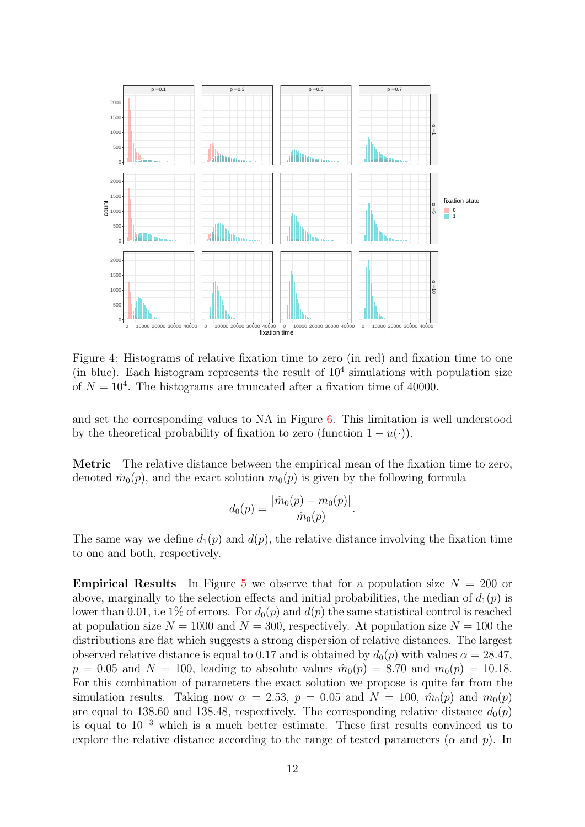

<span id="page-11-0"></span>Figure 4: Histograms of relative fixation time to zero (in red) and fixation time to one (in blue). Each histogram represents the result of  $10<sup>4</sup>$  simulations with population size of  $N = 10<sup>4</sup>$ . The histograms are truncated after a fixation time of 40000.

and set the corresponding values to NA in Figure [6.](#page-13-0) This limitation is well understood by the theoretical probability of fixation to zero (function  $1 - u(\cdot)$ ).

Metric The relative distance between the empirical mean of the fixation time to zero, denoted  $\hat{m}_0(p)$ , and the exact solution  $m_0(p)$  is given by the following formula

$$
d_0(p) = \frac{|\hat{m}_0(p) - m_0(p)|}{\hat{m}_0(p)}.
$$

The same way we define  $d_1(p)$  and  $d(p)$ , the relative distance involving the fixation time to one and both, respectively.

**Empirical Results** In Figure [5](#page-12-0) we observe that for a population size  $N = 200$  or above, marginally to the selection effects and initial probabilities, the median of  $d_1(p)$  is lower than 0.01, i.e 1% of errors. For  $d_0(p)$  and  $d(p)$  the same statistical control is reached at population size  $N = 1000$  and  $N = 300$ , respectively. At population size  $N = 100$  the distributions are flat which suggests a strong dispersion of relative distances. The largest observed relative distance is equal to 0.17 and is obtained by  $d_0(p)$  with values  $\alpha = 28.47$ ,  $p = 0.05$  and  $N = 100$ , leading to absolute values  $\hat{m}_0(p) = 8.70$  and  $m_0(p) = 10.18$ . For this combination of parameters the exact solution we propose is quite far from the simulation results. Taking now  $\alpha = 2.53$ ,  $p = 0.05$  and  $N = 100$ ,  $\hat{m}_0(p)$  and  $m_0(p)$ are equal to 138.60 and 138.48, respectively. The corresponding relative distance  $d_0(p)$ is equal to  $10^{-3}$  which is a much better estimate. These first results convinced us to explore the relative distance according to the range of tested parameters ( $\alpha$  and  $p$ ). In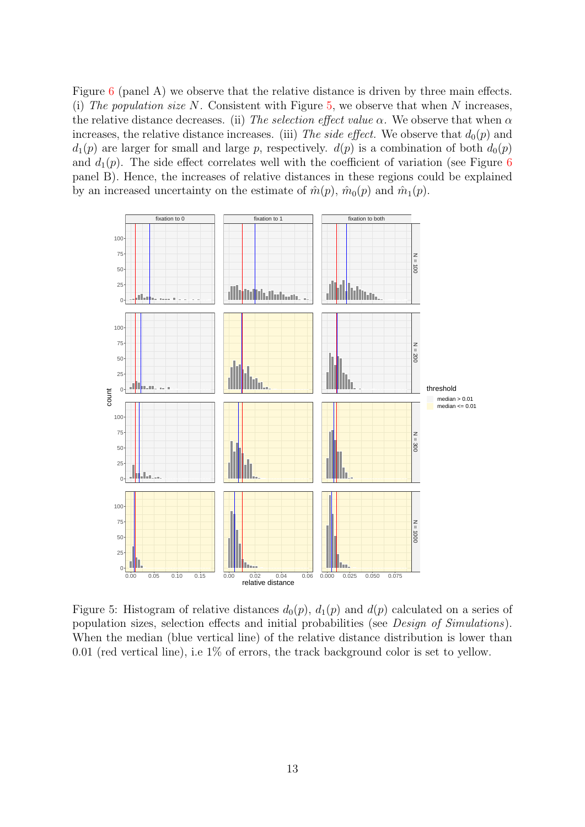Figure [6](#page-13-0) (panel A) we observe that the relative distance is driven by three main effects. (i) The population size N. Consistent with Figure [5,](#page-12-0) we observe that when N increases, the relative distance decreases. (ii) The selection effect value  $\alpha$ . We observe that when  $\alpha$ increases, the relative distance increases. (iii) The side effect. We observe that  $d_0(p)$  and  $d_1(p)$  are larger for small and large p, respectively.  $d(p)$  is a combination of both  $d_0(p)$ and  $d_1(p)$ . The side effect correlates well with the coefficient of variation (see Figure [6](#page-13-0)) panel B). Hence, the increases of relative distances in these regions could be explained by an increased uncertainty on the estimate of  $\hat{m}(p)$ ,  $\hat{m}_0(p)$  and  $\hat{m}_1(p)$ .



<span id="page-12-0"></span>Figure 5: Histogram of relative distances  $d_0(p)$ ,  $d_1(p)$  and  $d(p)$  calculated on a series of population sizes, selection effects and initial probabilities (see Design of Simulations). When the median (blue vertical line) of the relative distance distribution is lower than 0.01 (red vertical line), i.e  $1\%$  of errors, the track background color is set to yellow.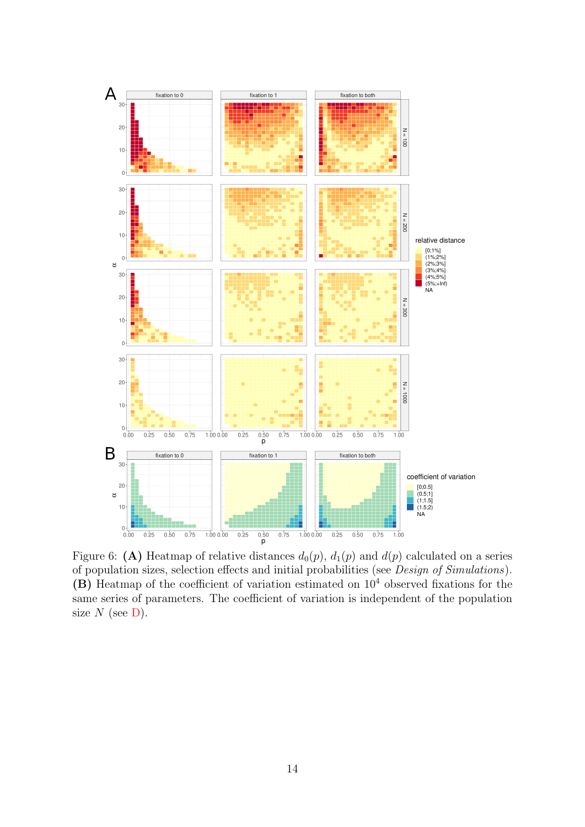

<span id="page-13-0"></span>Figure 6: (A) Heatmap of relative distances  $d_0(p)$ ,  $d_1(p)$  and  $d(p)$  calculated on a series of population sizes, selection effects and initial probabilities (see Design of Simulations). (B) Heatmap of the coefficient of variation estimated on  $10<sup>4</sup>$  observed fixations for the same series of parameters. The coefficient of variation is independent of the population size  $N$  (see [D\)](#page-20-0).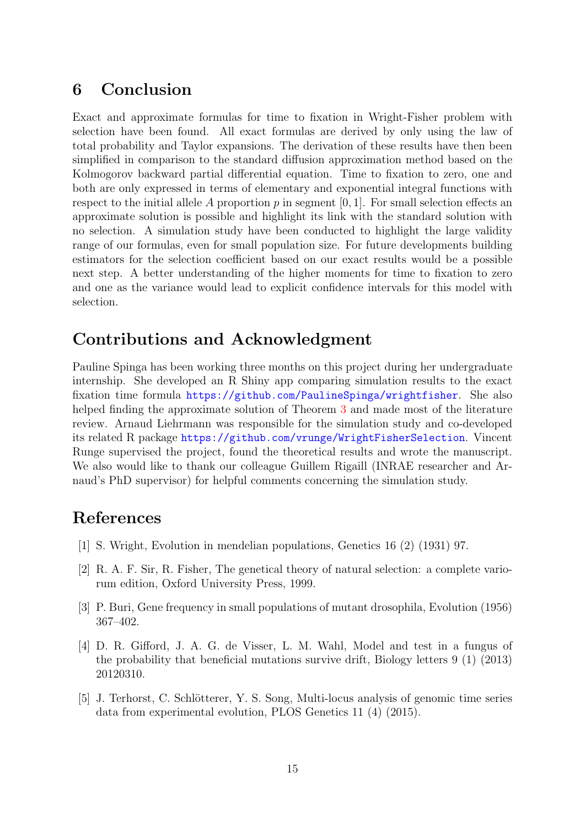### 6 Conclusion

Exact and approximate formulas for time to fixation in Wright-Fisher problem with selection have been found. All exact formulas are derived by only using the law of total probability and Taylor expansions. The derivation of these results have then been simplified in comparison to the standard diffusion approximation method based on the Kolmogorov backward partial differential equation. Time to fixation to zero, one and both are only expressed in terms of elementary and exponential integral functions with respect to the initial allele A proportion  $p$  in segment [0, 1]. For small selection effects an approximate solution is possible and highlight its link with the standard solution with no selection. A simulation study have been conducted to highlight the large validity range of our formulas, even for small population size. For future developments building estimators for the selection coefficient based on our exact results would be a possible next step. A better understanding of the higher moments for time to fixation to zero and one as the variance would lead to explicit confidence intervals for this model with selection.

### Contributions and Acknowledgment

Pauline Spinga has been working three months on this project during her undergraduate internship. She developed an R Shiny app comparing simulation results to the exact fixation time formula <https://github.com/PaulineSpinga/wrightfisher>. She also helped finding the approximate solution of Theorem [3](#page-8-2) and made most of the literature review. Arnaud Liehrmann was responsible for the simulation study and co-developed its related R package <https://github.com/vrunge/WrightFisherSelection>. Vincent Runge supervised the project, found the theoretical results and wrote the manuscript. We also would like to thank our colleague Guillem Rigaill (INRAE researcher and Arnaud's PhD supervisor) for helpful comments concerning the simulation study.

## References

- <span id="page-14-0"></span>[1] S. Wright, Evolution in mendelian populations, Genetics 16 (2) (1931) 97.
- <span id="page-14-1"></span>[2] R. A. F. Sir, R. Fisher, The genetical theory of natural selection: a complete variorum edition, Oxford University Press, 1999.
- <span id="page-14-2"></span>[3] P. Buri, Gene frequency in small populations of mutant drosophila, Evolution (1956) 367–402.
- <span id="page-14-3"></span>[4] D. R. Gifford, J. A. G. de Visser, L. M. Wahl, Model and test in a fungus of the probability that beneficial mutations survive drift, Biology letters 9 (1) (2013) 20120310.
- <span id="page-14-4"></span>[5] J. Terhorst, C. Schlötterer, Y. S. Song, Multi-locus analysis of genomic time series data from experimental evolution, PLOS Genetics 11 (4) (2015).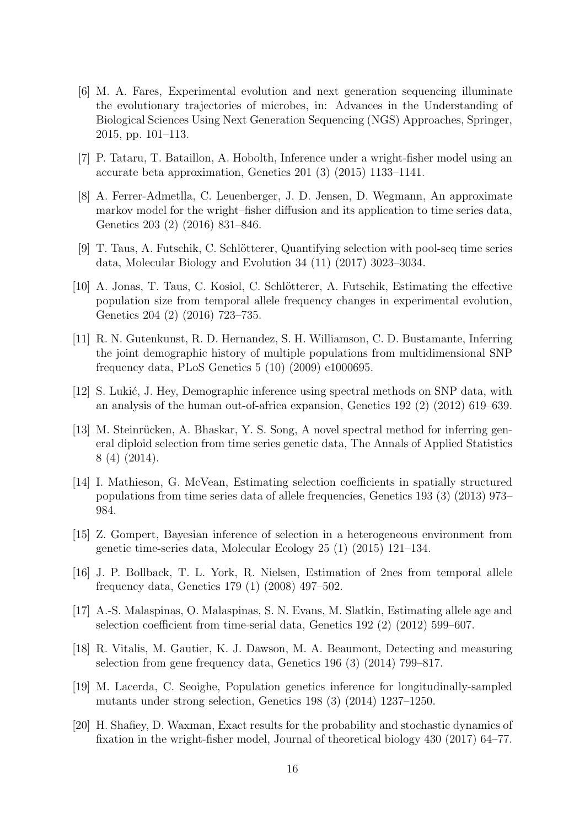- <span id="page-15-0"></span>[6] M. A. Fares, Experimental evolution and next generation sequencing illuminate the evolutionary trajectories of microbes, in: Advances in the Understanding of Biological Sciences Using Next Generation Sequencing (NGS) Approaches, Springer, 2015, pp. 101–113.
- <span id="page-15-1"></span>[7] P. Tataru, T. Bataillon, A. Hobolth, Inference under a wright-fisher model using an accurate beta approximation, Genetics 201 (3) (2015) 1133–1141.
- <span id="page-15-2"></span>[8] A. Ferrer-Admetlla, C. Leuenberger, J. D. Jensen, D. Wegmann, An approximate markov model for the wright–fisher diffusion and its application to time series data, Genetics 203 (2) (2016) 831–846.
- <span id="page-15-3"></span>[9] T. Taus, A. Futschik, C. Schlötterer, Quantifying selection with pool-seq time series data, Molecular Biology and Evolution 34 (11) (2017) 3023–3034.
- <span id="page-15-4"></span>[10] A. Jonas, T. Taus, C. Kosiol, C. Schlötterer, A. Futschik, Estimating the effective population size from temporal allele frequency changes in experimental evolution, Genetics 204 (2) (2016) 723–735.
- <span id="page-15-5"></span>[11] R. N. Gutenkunst, R. D. Hernandez, S. H. Williamson, C. D. Bustamante, Inferring the joint demographic history of multiple populations from multidimensional SNP frequency data, PLoS Genetics 5 (10) (2009) e1000695.
- <span id="page-15-6"></span>[12] S. Lukić, J. Hey, Demographic inference using spectral methods on SNP data, with an analysis of the human out-of-africa expansion, Genetics 192 (2) (2012) 619–639.
- <span id="page-15-7"></span>[13] M. Steinrücken, A. Bhaskar, Y. S. Song, A novel spectral method for inferring general diploid selection from time series genetic data, The Annals of Applied Statistics 8 (4) (2014).
- <span id="page-15-8"></span>[14] I. Mathieson, G. McVean, Estimating selection coefficients in spatially structured populations from time series data of allele frequencies, Genetics 193 (3) (2013) 973– 984.
- <span id="page-15-9"></span>[15] Z. Gompert, Bayesian inference of selection in a heterogeneous environment from genetic time-series data, Molecular Ecology 25 (1) (2015) 121–134.
- <span id="page-15-10"></span>[16] J. P. Bollback, T. L. York, R. Nielsen, Estimation of 2nes from temporal allele frequency data, Genetics 179 (1) (2008) 497–502.
- <span id="page-15-11"></span>[17] A.-S. Malaspinas, O. Malaspinas, S. N. Evans, M. Slatkin, Estimating allele age and selection coefficient from time-serial data, Genetics 192 (2) (2012) 599–607.
- <span id="page-15-12"></span>[18] R. Vitalis, M. Gautier, K. J. Dawson, M. A. Beaumont, Detecting and measuring selection from gene frequency data, Genetics 196 (3) (2014) 799–817.
- <span id="page-15-13"></span>[19] M. Lacerda, C. Seoighe, Population genetics inference for longitudinally-sampled mutants under strong selection, Genetics 198 (3) (2014) 1237–1250.
- <span id="page-15-14"></span>[20] H. Shafiey, D. Waxman, Exact results for the probability and stochastic dynamics of fixation in the wright-fisher model, Journal of theoretical biology 430 (2017) 64–77.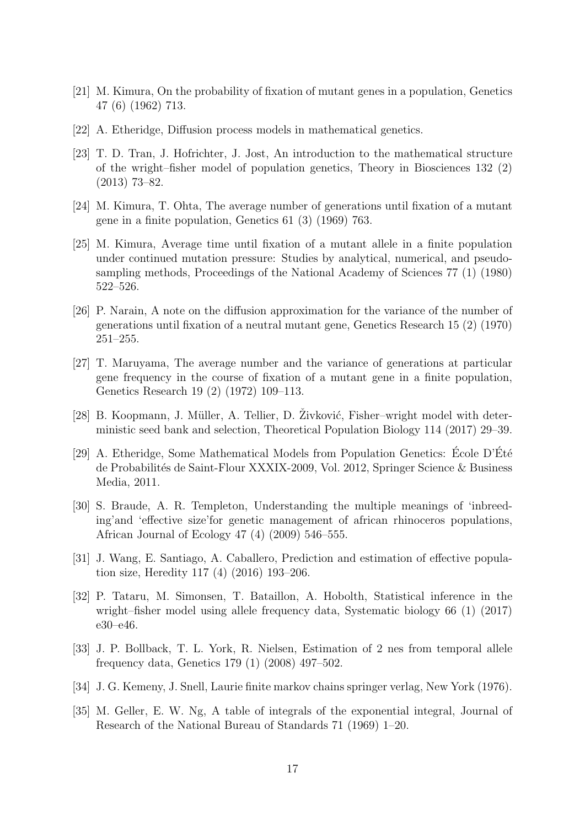- <span id="page-16-0"></span>[21] M. Kimura, On the probability of fixation of mutant genes in a population, Genetics 47 (6) (1962) 713.
- <span id="page-16-1"></span>[22] A. Etheridge, Diffusion process models in mathematical genetics.
- <span id="page-16-2"></span>[23] T. D. Tran, J. Hofrichter, J. Jost, An introduction to the mathematical structure of the wright–fisher model of population genetics, Theory in Biosciences 132 (2) (2013) 73–82.
- <span id="page-16-3"></span>[24] M. Kimura, T. Ohta, The average number of generations until fixation of a mutant gene in a finite population, Genetics 61 (3) (1969) 763.
- <span id="page-16-4"></span>[25] M. Kimura, Average time until fixation of a mutant allele in a finite population under continued mutation pressure: Studies by analytical, numerical, and pseudosampling methods, Proceedings of the National Academy of Sciences 77 (1) (1980) 522–526.
- <span id="page-16-5"></span>[26] P. Narain, A note on the diffusion approximation for the variance of the number of generations until fixation of a neutral mutant gene, Genetics Research 15 (2) (1970) 251–255.
- <span id="page-16-6"></span>[27] T. Maruyama, The average number and the variance of generations at particular gene frequency in the course of fixation of a mutant gene in a finite population, Genetics Research 19 (2) (1972) 109–113.
- <span id="page-16-7"></span>[28] B. Koopmann, J. Müller, A. Tellier, D. Zivković, Fisher–wright model with deterministic seed bank and selection, Theoretical Population Biology 114 (2017) 29–39.
- <span id="page-16-8"></span>[29] A. Etheridge, Some Mathematical Models from Population Genetics: Ecole D'Eté de Probabilit´es de Saint-Flour XXXIX-2009, Vol. 2012, Springer Science & Business Media, 2011.
- <span id="page-16-9"></span>[30] S. Braude, A. R. Templeton, Understanding the multiple meanings of 'inbreeding'and 'effective size'for genetic management of african rhinoceros populations, African Journal of Ecology 47 (4) (2009) 546–555.
- <span id="page-16-10"></span>[31] J. Wang, E. Santiago, A. Caballero, Prediction and estimation of effective population size, Heredity 117 (4) (2016) 193–206.
- <span id="page-16-11"></span>[32] P. Tataru, M. Simonsen, T. Bataillon, A. Hobolth, Statistical inference in the wright–fisher model using allele frequency data, Systematic biology 66 (1) (2017) e30–e46.
- <span id="page-16-12"></span>[33] J. P. Bollback, T. L. York, R. Nielsen, Estimation of 2 nes from temporal allele frequency data, Genetics 179 (1) (2008) 497–502.
- <span id="page-16-13"></span>[34] J. G. Kemeny, J. Snell, Laurie finite markov chains springer verlag, New York (1976).
- <span id="page-16-14"></span>[35] M. Geller, E. W. Ng, A table of integrals of the exponential integral, Journal of Research of the National Bureau of Standards 71 (1969) 1–20.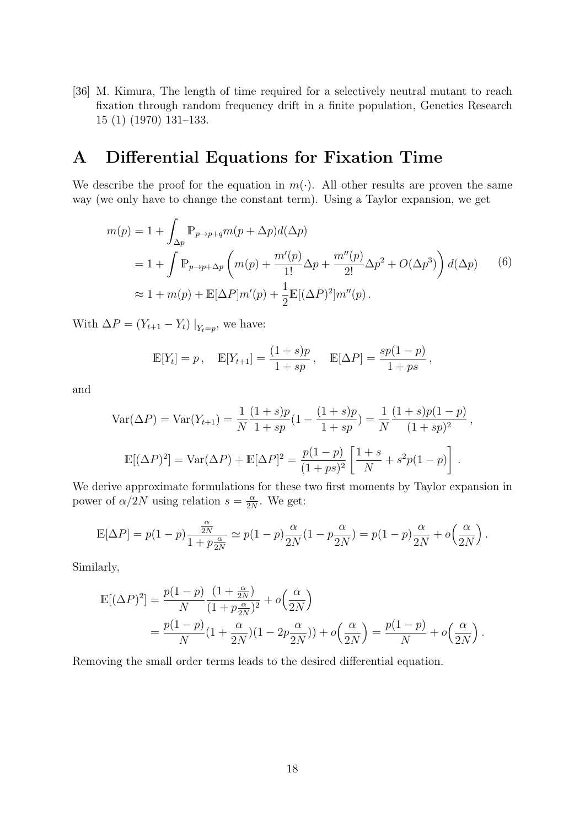<span id="page-17-1"></span>[36] M. Kimura, The length of time required for a selectively neutral mutant to reach fixation through random frequency drift in a finite population, Genetics Research 15 (1) (1970) 131–133.

## <span id="page-17-0"></span>A Differential Equations for Fixation Time

We describe the proof for the equation in  $m(\cdot)$ . All other results are proven the same way (we only have to change the constant term). Using a Taylor expansion, we get

$$
m(p) = 1 + \int_{\Delta p} \mathbb{P}_{p \to p+q} m(p + \Delta p) d(\Delta p)
$$
  
= 1 +  $\int \mathbb{P}_{p \to p+\Delta p} \left( m(p) + \frac{m'(p)}{1!} \Delta p + \frac{m''(p)}{2!} \Delta p^2 + O(\Delta p^3) \right) d(\Delta p)$  (6)  

$$
\approx 1 + m(p) + \mathbb{E}[\Delta P] m'(p) + \frac{1}{2} \mathbb{E}[(\Delta P)^2] m''(p).
$$

With  $\Delta P = (Y_{t+1} - Y_t) |_{Y_t = p}$ , we have:

$$
\mathbb{E}[Y_t] = p, \quad \mathbb{E}[Y_{t+1}] = \frac{(1+s)p}{1+sp}, \quad \mathbb{E}[\Delta P] = \frac{sp(1-p)}{1+ps},
$$

and

$$
\text{Var}(\Delta P) = \text{Var}(Y_{t+1}) = \frac{1}{N} \frac{(1+s)p}{1+sp} (1 - \frac{(1+s)p}{1+sp}) = \frac{1}{N} \frac{(1+s)p(1-p)}{(1+sp)^2},
$$

$$
\mathbb{E}[(\Delta P)^2] = \text{Var}(\Delta P) + \mathbb{E}[\Delta P]^2 = \frac{p(1-p)}{(1+ps)^2} \left[ \frac{1+s}{N} + s^2 p(1-p) \right].
$$

We derive approximate formulations for these two first moments by Taylor expansion in power of  $\alpha/2N$  using relation  $s=\frac{\alpha}{2N}$  $\frac{\alpha}{2N}$ . We get:

$$
\mathbb{E}[\Delta P] = p(1-p)\frac{\frac{\alpha}{2N}}{1+p\frac{\alpha}{2N}} \simeq p(1-p)\frac{\alpha}{2N}(1-p\frac{\alpha}{2N}) = p(1-p)\frac{\alpha}{2N} + o\left(\frac{\alpha}{2N}\right).
$$

Similarly,

$$
\mathbb{E}[(\Delta P)^2] = \frac{p(1-p)}{N} \frac{(1+\frac{\alpha}{2N})}{(1+p\frac{\alpha}{2N})^2} + o\left(\frac{\alpha}{2N}\right)
$$
  
=  $\frac{p(1-p)}{N}(1+\frac{\alpha}{2N})(1-2p\frac{\alpha}{2N})) + o\left(\frac{\alpha}{2N}\right) = \frac{p(1-p)}{N} + o\left(\frac{\alpha}{2N}\right).$ 

Removing the small order terms leads to the desired differential equation.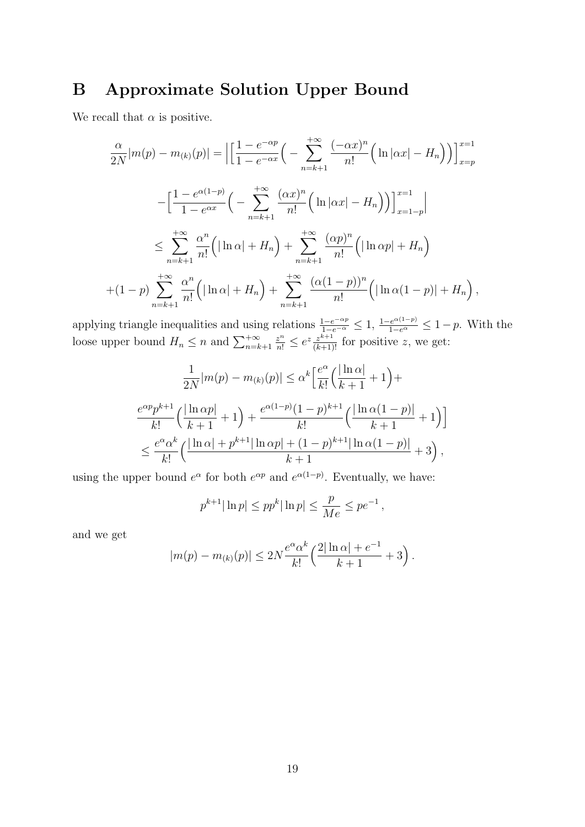## <span id="page-18-0"></span>B Approximate Solution Upper Bound

We recall that  $\alpha$  is positive.

$$
\frac{\alpha}{2N}|m(p) - m_{(k)}(p)| = \left| \left[ \frac{1 - e^{-\alpha p}}{1 - e^{-\alpha x}} \right] - \sum_{n=k+1}^{+\infty} \frac{(-\alpha x)^n}{n!} \left( \ln |\alpha x| - H_n \right) \right] \right|_{x=p}^{x=1}
$$

$$
- \left[ \frac{1 - e^{\alpha (1-p)}}{1 - e^{\alpha x}} \left( - \sum_{n=k+1}^{+\infty} \frac{(\alpha x)^n}{n!} \left( \ln |\alpha x| - H_n \right) \right) \right]_{x=1-p}^{x=1} \right|
$$

$$
\leq \sum_{n=k+1}^{+\infty} \frac{\alpha^n}{n!} \left( |\ln \alpha| + H_n \right) + \sum_{n=k+1}^{+\infty} \frac{(\alpha p)^n}{n!} \left( |\ln \alpha p| + H_n \right)
$$

$$
+ (1-p) \sum_{n=k+1}^{+\infty} \frac{\alpha^n}{n!} \left( |\ln \alpha| + H_n \right) + \sum_{n=k+1}^{+\infty} \frac{(\alpha (1-p))^n}{n!} \left( |\ln \alpha (1-p)| + H_n \right),
$$

applying triangle inequalities and using relations  $\frac{1-e^{-\alpha p}}{1-e^{-\alpha}} \leq 1$ ,  $\frac{1-e^{\alpha(1-p)}}{1-e^{\alpha}} \leq 1-p$ . With the loose upper bound  $H_n \leq n$  and  $\sum_{n=k+1}^{+\infty}$  $\frac{z^n}{n!} \leq e^z \frac{z^{k+1}}{(k+1)!}$  for positive z, we get:

$$
\frac{1}{2N}|m(p) - m_{(k)}(p)| \le \alpha^k \left[\frac{e^{\alpha}}{k!} \left(\frac{|\ln \alpha|}{k+1} + 1\right) + \frac{e^{\alpha p} p^{k+1}}{k!} \left(\frac{|\ln \alpha p|}{k+1} + 1\right) + \frac{e^{\alpha(1-p)} (1-p)^{k+1}}{k!} \left(\frac{|\ln \alpha(1-p)|}{k+1} + 1\right)\right]
$$
  

$$
\le \frac{e^{\alpha} \alpha^k}{k!} \left(\frac{|\ln \alpha| + p^{k+1} |\ln \alpha p| + (1-p)^{k+1} |\ln \alpha(1-p)|}{k+1} + 3\right),
$$

using the upper bound  $e^{\alpha}$  for both  $e^{\alpha p}$  and  $e^{\alpha(1-p)}$ . Eventually, we have:

$$
p^{k+1}|\ln p| \leq pp^k|\ln p| \leq \frac{p}{Me} \leq pe^{-1}
$$
,

and we get

$$
|m(p) - m_{(k)}(p)| \le 2N \frac{e^{\alpha} \alpha^k}{k!} \left( \frac{2|\ln \alpha| + e^{-1}}{k+1} + 3 \right).
$$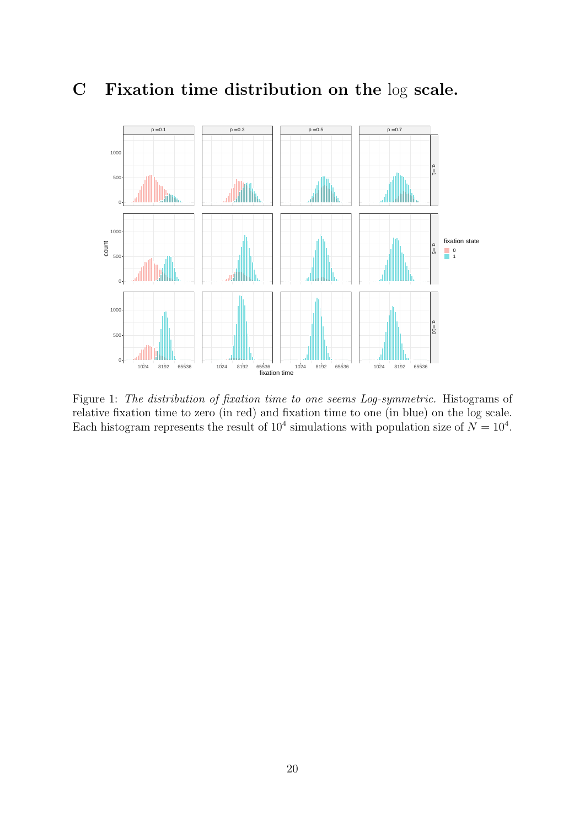## <span id="page-19-0"></span>C Fixation time distribution on the log scale.



Figure 1: The distribution of fixation time to one seems Log-symmetric. Histograms of relative fixation time to zero (in red) and fixation time to one (in blue) on the log scale. Each histogram represents the result of  $10^4$  simulations with population size of  $N = 10^4$ .